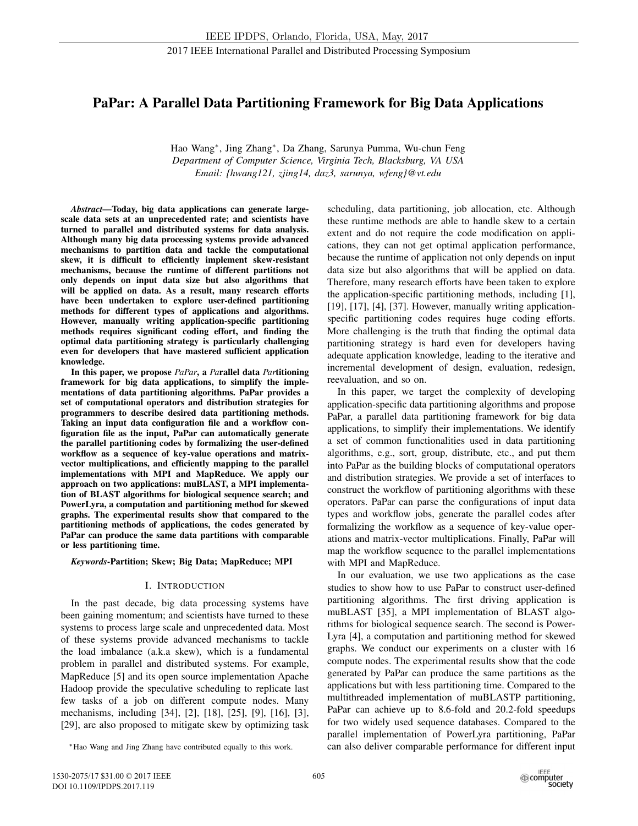# PaPar: A Parallel Data Partitioning Framework for Big Data Applications

Hao Wang∗, Jing Zhang∗, Da Zhang, Sarunya Pumma, Wu-chun Feng *Department of Computer Science, Virginia Tech, Blacksburg, VA USA Email: {hwang121, zjing14, daz3, sarunya, wfeng}@vt.edu*

*Abstract*—Today, big data applications can generate largescale data sets at an unprecedented rate; and scientists have turned to parallel and distributed systems for data analysis. Although many big data processing systems provide advanced mechanisms to partition data and tackle the computational skew, it is difficult to efficiently implement skew-resistant mechanisms, because the runtime of different partitions not only depends on input data size but also algorithms that will be applied on data. As a result, many research efforts have been undertaken to explore user-defined partitioning methods for different types of applications and algorithms. However, manually writing application-specific partitioning methods requires significant coding effort, and finding the optimal data partitioning strategy is particularly challenging even for developers that have mastered sufficient application knowledge.

In this paper, we propose *PaPar*, a *Pa*rallel data *Par*titioning framework for big data applications, to simplify the implementations of data partitioning algorithms. PaPar provides a set of computational operators and distribution strategies for programmers to describe desired data partitioning methods. Taking an input data configuration file and a workflow configuration file as the input, PaPar can automatically generate the parallel partitioning codes by formalizing the user-defined workflow as a sequence of key-value operations and matrixvector multiplications, and efficiently mapping to the parallel implementations with MPI and MapReduce. We apply our approach on two applications: muBLAST, a MPI implementation of BLAST algorithms for biological sequence search; and PowerLyra, a computation and partitioning method for skewed graphs. The experimental results show that compared to the partitioning methods of applications, the codes generated by PaPar can produce the same data partitions with comparable or less partitioning time.

## *Keywords*-Partition; Skew; Big Data; MapReduce; MPI

# I. INTRODUCTION

In the past decade, big data processing systems have been gaining momentum; and scientists have turned to these systems to process large scale and unprecedented data. Most of these systems provide advanced mechanisms to tackle the load imbalance (a.k.a skew), which is a fundamental problem in parallel and distributed systems. For example, MapReduce [5] and its open source implementation Apache Hadoop provide the speculative scheduling to replicate last few tasks of a job on different compute nodes. Many mechanisms, including [34], [2], [18], [25], [9], [16], [3], [29], are also proposed to mitigate skew by optimizing task

∗Hao Wang and Jing Zhang have contributed equally to this work.

scheduling, data partitioning, job allocation, etc. Although these runtime methods are able to handle skew to a certain extent and do not require the code modification on applications, they can not get optimal application performance, because the runtime of application not only depends on input data size but also algorithms that will be applied on data. Therefore, many research efforts have been taken to explore the application-specific partitioning methods, including [1], [19], [17], [4], [37]. However, manually writing applicationspecific partitioning codes requires huge coding efforts. More challenging is the truth that finding the optimal data partitioning strategy is hard even for developers having adequate application knowledge, leading to the iterative and incremental development of design, evaluation, redesign, reevaluation, and so on.

In this paper, we target the complexity of developing application-specific data partitioning algorithms and propose PaPar, a parallel data partitioning framework for big data applications, to simplify their implementations. We identify a set of common functionalities used in data partitioning algorithms, e.g., sort, group, distribute, etc., and put them into PaPar as the building blocks of computational operators and distribution strategies. We provide a set of interfaces to construct the workflow of partitioning algorithms with these operators. PaPar can parse the configurations of input data types and workflow jobs, generate the parallel codes after formalizing the workflow as a sequence of key-value operations and matrix-vector multiplications. Finally, PaPar will map the workflow sequence to the parallel implementations with MPI and MapReduce.

In our evaluation, we use two applications as the case studies to show how to use PaPar to construct user-defined partitioning algorithms. The first driving application is muBLAST [35], a MPI implementation of BLAST algorithms for biological sequence search. The second is Power-Lyra [4], a computation and partitioning method for skewed graphs. We conduct our experiments on a cluster with 16 compute nodes. The experimental results show that the code generated by PaPar can produce the same partitions as the applications but with less partitioning time. Compared to the multithreaded implementation of muBLASTP partitioning, PaPar can achieve up to 8.6-fold and 20.2-fold speedups for two widely used sequence databases. Compared to the parallel implementation of PowerLyra partitioning, PaPar can also deliver comparable performance for different input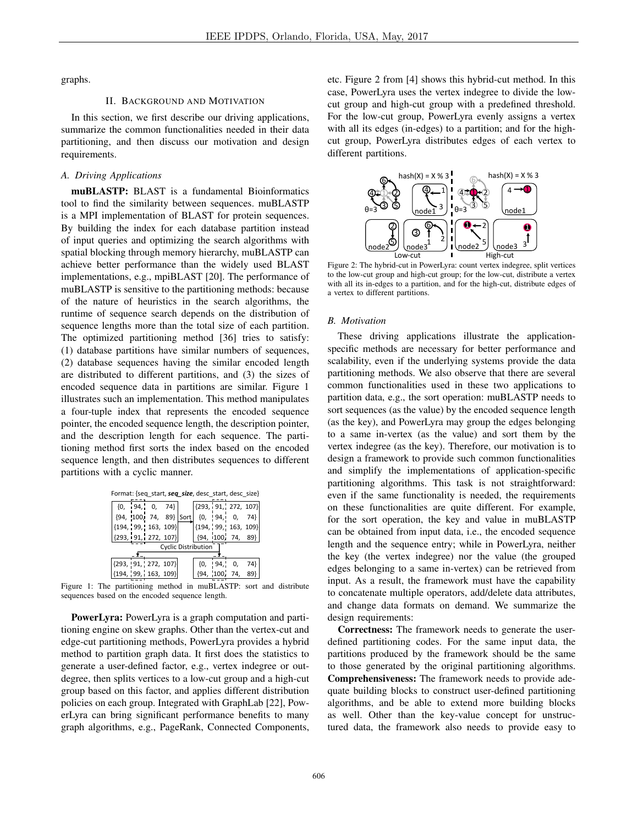graphs.

## II. BACKGROUND AND MOTIVATION

In this section, we first describe our driving applications, summarize the common functionalities needed in their data partitioning, and then discuss our motivation and design requirements.

#### *A. Driving Applications*

muBLASTP: BLAST is a fundamental Bioinformatics tool to find the similarity between sequences. muBLASTP is a MPI implementation of BLAST for protein sequences. By building the index for each database partition instead of input queries and optimizing the search algorithms with spatial blocking through memory hierarchy, muBLASTP can achieve better performance than the widely used BLAST implementations, e.g., mpiBLAST [20]. The performance of muBLASTP is sensitive to the partitioning methods: because of the nature of heuristics in the search algorithms, the runtime of sequence search depends on the distribution of sequence lengths more than the total size of each partition. The optimized partitioning method [36] tries to satisfy: (1) database partitions have similar numbers of sequences, (2) database sequences having the similar encoded length are distributed to different partitions, and (3) the sizes of encoded sequence data in partitions are similar. Figure 1 illustrates such an implementation. This method manipulates a four-tuple index that represents the encoded sequence pointer, the encoded sequence length, the description pointer, and the description length for each sequence. The partitioning method first sorts the index based on the encoded sequence length, and then distributes sequences to different partitions with a cyclic manner.

| Format: {seq start, seq_size, desc start, desc size} |  |                    |  |  |                                                 |  |                    |     |
|------------------------------------------------------|--|--------------------|--|--|-------------------------------------------------|--|--------------------|-----|
|                                                      |  | $\{0, 94, 0, 74\}$ |  |  | {293, 91, 272, 107}                             |  |                    |     |
|                                                      |  |                    |  |  | $\{94, 100, 74, 89\}$ Sort {0, $194, 0,$        |  |                    | 74} |
| ${194, 99, 163, 109}$                                |  |                    |  |  | $\left  \{ 194, \{ 99, \} \} \right $ 163, 109} |  |                    |     |
| (293, 91, 272, 107)                                  |  |                    |  |  | {94, 100, 74, 89}                               |  |                    |     |
| <b>Cyclic Distribution</b>                           |  |                    |  |  |                                                 |  |                    |     |
|                                                      |  |                    |  |  |                                                 |  |                    |     |
| ${293, 91, 272, 107}$                                |  |                    |  |  |                                                 |  |                    | 74} |
| (194, 99, 163, 109)                                  |  |                    |  |  |                                                 |  | ${94, '100, '74,}$ | 89} |

Figure 1: The partitioning method in muBLASTP: sort and distribute sequences based on the encoded sequence length.

PowerLyra: PowerLyra is a graph computation and partitioning engine on skew graphs. Other than the vertex-cut and edge-cut partitioning methods, PowerLyra provides a hybrid method to partition graph data. It first does the statistics to generate a user-defined factor, e.g., vertex indegree or outdegree, then splits vertices to a low-cut group and a high-cut group based on this factor, and applies different distribution policies on each group. Integrated with GraphLab [22], PowerLyra can bring significant performance benefits to many graph algorithms, e.g., PageRank, Connected Components, etc. Figure 2 from [4] shows this hybrid-cut method. In this case, PowerLyra uses the vertex indegree to divide the lowcut group and high-cut group with a predefined threshold. For the low-cut group, PowerLyra evenly assigns a vertex with all its edges (in-edges) to a partition; and for the highcut group, PowerLyra distributes edges of each vertex to different partitions.



Figure 2: The hybrid-cut in PowerLyra: count vertex indegree, split vertices to the low-cut group and high-cut group; for the low-cut, distribute a vertex with all its in-edges to a partition, and for the high-cut, distribute edges of a vertex to different partitions.

#### *B. Motivation*

These driving applications illustrate the applicationspecific methods are necessary for better performance and scalability, even if the underlying systems provide the data partitioning methods. We also observe that there are several common functionalities used in these two applications to partition data, e.g., the sort operation: muBLASTP needs to sort sequences (as the value) by the encoded sequence length (as the key), and PowerLyra may group the edges belonging to a same in-vertex (as the value) and sort them by the vertex indegree (as the key). Therefore, our motivation is to design a framework to provide such common functionalities and simplify the implementations of application-specific partitioning algorithms. This task is not straightforward: even if the same functionality is needed, the requirements on these functionalities are quite different. For example, for the sort operation, the key and value in muBLASTP can be obtained from input data, i.e., the encoded sequence length and the sequence entry; while in PowerLyra, neither the key (the vertex indegree) nor the value (the grouped edges belonging to a same in-vertex) can be retrieved from input. As a result, the framework must have the capability to concatenate multiple operators, add/delete data attributes, and change data formats on demand. We summarize the design requirements:

Correctness: The framework needs to generate the userdefined partitioning codes. For the same input data, the partitions produced by the framework should be the same to those generated by the original partitioning algorithms. Comprehensiveness: The framework needs to provide adequate building blocks to construct user-defined partitioning algorithms, and be able to extend more building blocks as well. Other than the key-value concept for unstructured data, the framework also needs to provide easy to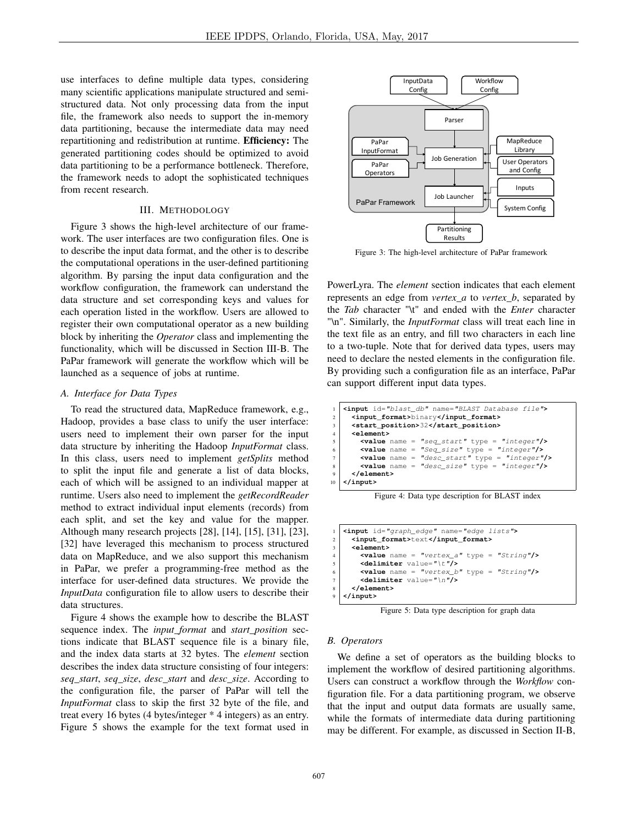use interfaces to define multiple data types, considering many scientific applications manipulate structured and semistructured data. Not only processing data from the input file, the framework also needs to support the in-memory data partitioning, because the intermediate data may need repartitioning and redistribution at runtime. Efficiency: The generated partitioning codes should be optimized to avoid data partitioning to be a performance bottleneck. Therefore, the framework needs to adopt the sophisticated techniques from recent research.

# III. METHODOLOGY

Figure 3 shows the high-level architecture of our framework. The user interfaces are two configuration files. One is to describe the input data format, and the other is to describe the computational operations in the user-defined partitioning algorithm. By parsing the input data configuration and the workflow configuration, the framework can understand the data structure and set corresponding keys and values for each operation listed in the workflow. Users are allowed to register their own computational operator as a new building block by inheriting the *Operator* class and implementing the functionality, which will be discussed in Section III-B. The PaPar framework will generate the workflow which will be launched as a sequence of jobs at runtime.

## *A. Interface for Data Types*

To read the structured data, MapReduce framework, e.g., Hadoop, provides a base class to unify the user interface: users need to implement their own parser for the input data structure by inheriting the Hadoop *InputFormat* class. In this class, users need to implement *getSplits* method to split the input file and generate a list of data blocks, each of which will be assigned to an individual mapper at runtime. Users also need to implement the *getRecordReader* method to extract individual input elements (records) from each split, and set the key and value for the mapper. Although many research projects [28], [14], [15], [31], [23], [32] have leveraged this mechanism to process structured data on MapReduce, and we also support this mechanism in PaPar, we prefer a programming-free method as the interface for user-defined data structures. We provide the *InputData* configuration file to allow users to describe their data structures.

Figure 4 shows the example how to describe the BLAST sequence index. The *input\_format* and *start\_position* sections indicate that BLAST sequence file is a binary file, and the index data starts at 32 bytes. The *element* section describes the index data structure consisting of four integers: *seq\_start*, *seq\_size*, *desc\_start* and *desc\_size*. According to the configuration file, the parser of PaPar will tell the *InputFormat* class to skip the first 32 byte of the file, and treat every 16 bytes (4 bytes/integer \* 4 integers) as an entry. Figure 5 shows the example for the text format used in



Figure 3: The high-level architecture of PaPar framework

PowerLyra. The *element* section indicates that each element represents an edge from *vertex\_a* to *vertex\_b*, separated by the *Tab* character "\t" and ended with the *Enter* character "\n". Similarly, the *InputFormat* class will treat each line in the text file as an entry, and fill two characters in each line to a two-tuple. Note that for derived data types, users may need to declare the nested elements in the configuration file. By providing such a configuration file as an interface, PaPar can support different input data types.

```
1 <input id="blast_db" name="BLAST Database file">
2 <input_format>binary</input_format>
3 <start_position>32</start_position>
4 <element>
        5 <value name = "seq_start" type = "integer"/>
 6 <value name = "Seq_size" type = "integer"/>
7 <value name = "desc_start" type = "integer"/>
8 <value name = "desc_size" type = "integer"/>
9 </element>
   10 </input>
```
Figure 4: Data type description for BLAST index

```
1 <input id="graph_edge" name="edge lists">
     2 <input_format>text</input_format>
3 <element>
       4 <value name = "vertex_a" type = "String"/>
       5 <delimiter value="\t"/>
       6 <value name = "vertex_b" type = "String"/>
       7 <delimiter value="\n"/>
     8 </element>
   9 </input>
```
Figure 5: Data type description for graph data

#### *B. Operators*

We define a set of operators as the building blocks to implement the workflow of desired partitioning algorithms. Users can construct a workflow through the *Workflow* configuration file. For a data partitioning program, we observe that the input and output data formats are usually same, while the formats of intermediate data during partitioning may be different. For example, as discussed in Section II-B,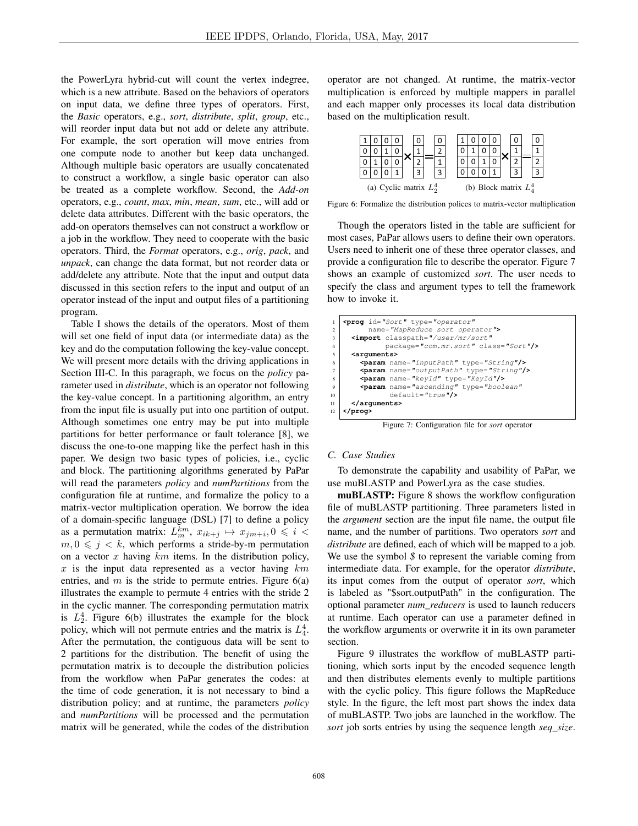the PowerLyra hybrid-cut will count the vertex indegree, which is a new attribute. Based on the behaviors of operators on input data, we define three types of operators. First, the *Basic* operators, e.g., *sort*, *distribute*, *split*, *group*, etc., will reorder input data but not add or delete any attribute. For example, the sort operation will move entries from one compute node to another but keep data unchanged. Although multiple basic operators are usually concatenated to construct a workflow, a single basic operator can also be treated as a complete workflow. Second, the *Add-on* operators, e.g., *count*, *max*, *min*, *mean*, *sum*, etc., will add or delete data attributes. Different with the basic operators, the add-on operators themselves can not construct a workflow or a job in the workflow. They need to cooperate with the basic operators. Third, the *Format* operators, e.g., *orig*, *pack*, and *unpack*, can change the data format, but not reorder data or add/delete any attribute. Note that the input and output data discussed in this section refers to the input and output of an operator instead of the input and output files of a partitioning program.

Table I shows the details of the operators. Most of them will set one field of input data (or intermediate data) as the key and do the computation following the key-value concept. We will present more details with the driving applications in Section III-C. In this paragraph, we focus on the *policy* parameter used in *distribute*, which is an operator not following the key-value concept. In a partitioning algorithm, an entry from the input file is usually put into one partition of output. Although sometimes one entry may be put into multiple partitions for better performance or fault tolerance [8], we discuss the one-to-one mapping like the perfect hash in this paper. We design two basic types of policies, i.e., cyclic and block. The partitioning algorithms generated by PaPar will read the parameters *policy* and *numPartitions* from the configuration file at runtime, and formalize the policy to a matrix-vector multiplication operation. We borrow the idea of a domain-specific language (DSL) [7] to define a policy as a permutation matrix:  $L_m^{km}$ ,  $x_{ik+j} \mapsto x_{jm+i}$ ,  $0 \le i \le j$  $m, 0 \leqslant j < k$ , which performs a stride-by-m permutation on a vector  $x$  having  $km$  items. In the distribution policy,  $x$  is the input data represented as a vector having  $km$ entries, and  $m$  is the stride to permute entries. Figure  $6(a)$ illustrates the example to permute 4 entries with the stride 2 in the cyclic manner. The corresponding permutation matrix is  $L_2^4$ . Figure 6(b) illustrates the example for the block policy, which will not permute entries and the matrix is  $L_4^4$ . After the permutation, the contiguous data will be sent to 2 partitions for the distribution. The benefit of using the permutation matrix is to decouple the distribution policies from the workflow when PaPar generates the codes: at the time of code generation, it is not necessary to bind a distribution policy; and at runtime, the parameters *policy* and *numPartitions* will be processed and the permutation matrix will be generated, while the codes of the distribution operator are not changed. At runtime, the matrix-vector multiplication is enforced by multiple mappers in parallel and each mapper only processes its local data distribution based on the multiplication result.



Figure 6: Formalize the distribution polices to matrix-vector multiplication

Though the operators listed in the table are sufficient for most cases, PaPar allows users to define their own operators. Users need to inherit one of these three operator classes, and provide a configuration file to describe the operator. Figure 7 shows an example of customized *sort*. The user needs to specify the class and argument types to tell the framework how to invoke it.

|                     | <prog <="" id="Sort" th="" type="operator"></prog>     |
|---------------------|--------------------------------------------------------|
| $\overline{c}$      | name="MapReduce sort operator">                        |
| $\ddot{\mathbf{3}}$ | <import <="" classpath="/user/mr/sort" th=""></import> |
| $\overline{4}$      | package="com.mr.sort" class="Sort"/>                   |
| 5                   | <arguments></arguments>                                |
| 6                   | <param name="inputPath" type="String"/>                |
| $\overline{7}$      | <param name="outputPath" type="String"/>               |
| 8                   | <param name="keyId" type="KeyId"/>                     |
| 9                   | <param <="" name="ascending" th="" type="boolean"/>    |
| 10                  | $default='true'$                                       |
| 11                  |                                                        |
| 12                  | prog>                                                  |
|                     |                                                        |

Figure 7: Configuration file for *sort* operator

## *C. Case Studies*

To demonstrate the capability and usability of PaPar, we use muBLASTP and PowerLyra as the case studies.

muBLASTP: Figure 8 shows the workflow configuration file of muBLASTP partitioning. Three parameters listed in the *argument* section are the input file name, the output file name, and the number of partitions. Two operators *sort* and *distribute* are defined, each of which will be mapped to a job. We use the symbol *\$* to represent the variable coming from intermediate data. For example, for the operator *distribute*, its input comes from the output of operator *sort*, which is labeled as "\$sort.outputPath" in the configuration. The optional parameter *num\_reducers* is used to launch reducers at runtime. Each operator can use a parameter defined in the workflow arguments or overwrite it in its own parameter section.

Figure 9 illustrates the workflow of muBLASTP partitioning, which sorts input by the encoded sequence length and then distributes elements evenly to multiple partitions with the cyclic policy. This figure follows the MapReduce style. In the figure, the left most part shows the index data of muBLASTP. Two jobs are launched in the workflow. The *sort* job sorts entries by using the sequence length *seq\_size*.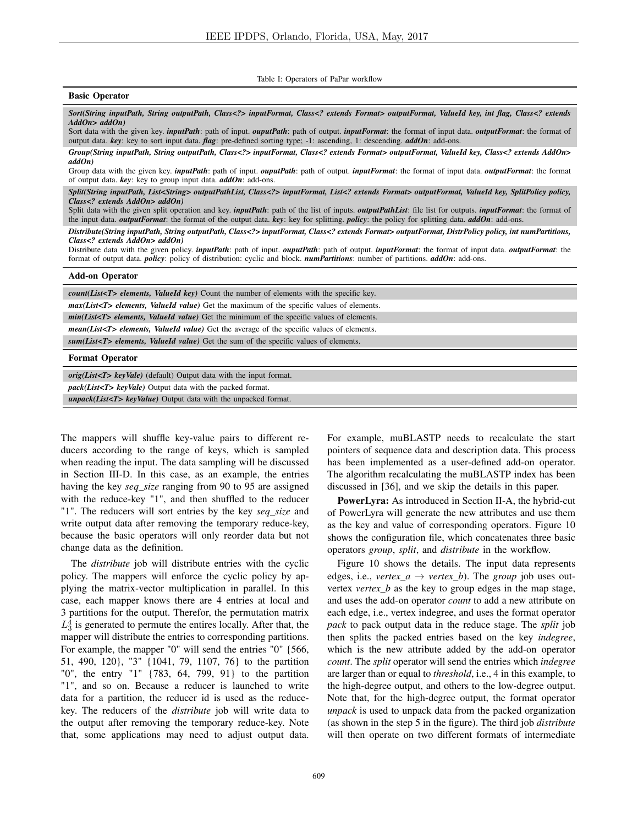Table I: Operators of PaPar workflow

#### Basic Operator

*Sort(String inputPath, String outputPath, Class<?> inputFormat, Class<? extends Format> outputFormat, ValueId key, int flag, Class<? extends AddOn> addOn)*

Sort data with the given key. *inputPath*: path of input. *ouputPath*: path of output. *inputFormat*: the format of input data. *outputFormat*: the format of output data. *key*: key to sort input data. *flag*: pre-defined sorting type; -1: ascending, 1: descending. *addOn*: add-ons.

*Group(String inputPath, String outputPath, Class<?> inputFormat, Class<? extends Format> outputFormat, ValueId key, Class<? extends AddOn> addOn)*

Group data with the given key. *inputPath*: path of input. *ouputPath*: path of output. *inputFormat*: the format of input data. *outputFormat*: the format of output data. *key*: key to group input data. *addOn*: add-ons.

*Split(String inputPath, List<String> outputPathList, Class<?> inputFormat, List<? extends Format> outputFormat, ValueId key, SplitPolicy policy, Class<? extends AddOn> addOn)*

Split data with the given split operation and key. *inputPath*: path of the list of inputs. *outputPathList*: file list for outputs. *inputFormat*: the format of the input data. *outputFormat*: the format of the output data. *key*: key for splitting. *policy*: the policy for splitting data. *addOn*: add-ons.

*Distribute(String inputPath, String outputPath, Class<?> inputFormat, Class<? extends Format> outputFormat, DistrPolicy policy, int numPartitions, Class<? extends AddOn> addOn)*

Distribute data with the given policy. *inputPath*: path of input. *ouputPath*: path of output. *inputFormat*: the format of input data. *outputFormat*: the format of output data. *policy*: policy of distribution: cyclic and block. *numPartitions*: number of partitions. *addOn*: add-ons.

|  | <b>Add-on Operator</b> |
|--|------------------------|
|--|------------------------|

| $count(List < T > elements, ValueId key)$ Count the number of elements with the specific key.        |
|------------------------------------------------------------------------------------------------------|
| <i>max(List<t> elements, ValueId value)</t></i> Get the maximum of the specific values of elements.  |
| <i>min(List<t> elements, ValueId value)</t></i> Get the minimum of the specific values of elements.  |
| <i>mean(List<t> elements, ValueId value)</t></i> Get the average of the specific values of elements. |
| sum(List <t> elements, ValueId value) Get the sum of the specific values of elements.</t>            |
|                                                                                                      |
| <b>Format Operator</b>                                                                               |
| $orig(List < T$ key Vale) (default) Output data with the input format.                               |
| $pack(List < T>keyValue)$ Output data with the packed format.                                        |

The mappers will shuffle key-value pairs to different reducers according to the range of keys, which is sampled when reading the input. The data sampling will be discussed in Section III-D. In this case, as an example, the entries having the key *seq\_size* ranging from 90 to 95 are assigned with the reduce-key "1", and then shuffled to the reducer "1". The reducers will sort entries by the key *seq\_size* and write output data after removing the temporary reduce-key, because the basic operators will only reorder data but not change data as the definition.

The *distribute* job will distribute entries with the cyclic policy. The mappers will enforce the cyclic policy by applying the matrix-vector multiplication in parallel. In this case, each mapper knows there are 4 entries at local and 3 partitions for the output. Therefor, the permutation matrix  $L_3^4$  is generated to permute the entires locally. After that, the mapper will distribute the entries to corresponding partitions. For example, the mapper "0" will send the entries "0" {566, 51, 490, 120}, "3" {1041, 79, 1107, 76} to the partition "0", the entry "1" {783, 64, 799, 91} to the partition "1", and so on. Because a reducer is launched to write data for a partition, the reducer id is used as the reducekey. The reducers of the *distribute* job will write data to the output after removing the temporary reduce-key. Note that, some applications may need to adjust output data.

For example, muBLASTP needs to recalculate the start pointers of sequence data and description data. This process has been implemented as a user-defined add-on operator. The algorithm recalculating the muBLASTP index has been discussed in [36], and we skip the details in this paper.

PowerLyra: As introduced in Section II-A, the hybrid-cut of PowerLyra will generate the new attributes and use them as the key and value of corresponding operators. Figure 10 shows the configuration file, which concatenates three basic operators *group*, *split*, and *distribute* in the workflow.

Figure 10 shows the details. The input data represents edges, i.e., *vertex\_a*  $\rightarrow$  *vertex\_b*). The *group* job uses outvertex *vertex\_b* as the key to group edges in the map stage, and uses the add-on operator *count* to add a new attribute on each edge, i.e., vertex indegree, and uses the format operator *pack* to pack output data in the reduce stage. The *split* job then splits the packed entries based on the key *indegree*, which is the new attribute added by the add-on operator *count*. The *split* operator will send the entries which *indegree* are larger than or equal to *threshold*, i.e., 4 in this example, to the high-degree output, and others to the low-degree output. Note that, for the high-degree output, the format operator *unpack* is used to unpack data from the packed organization (as shown in the step 5 in the figure). The third job *distribute* will then operate on two different formats of intermediate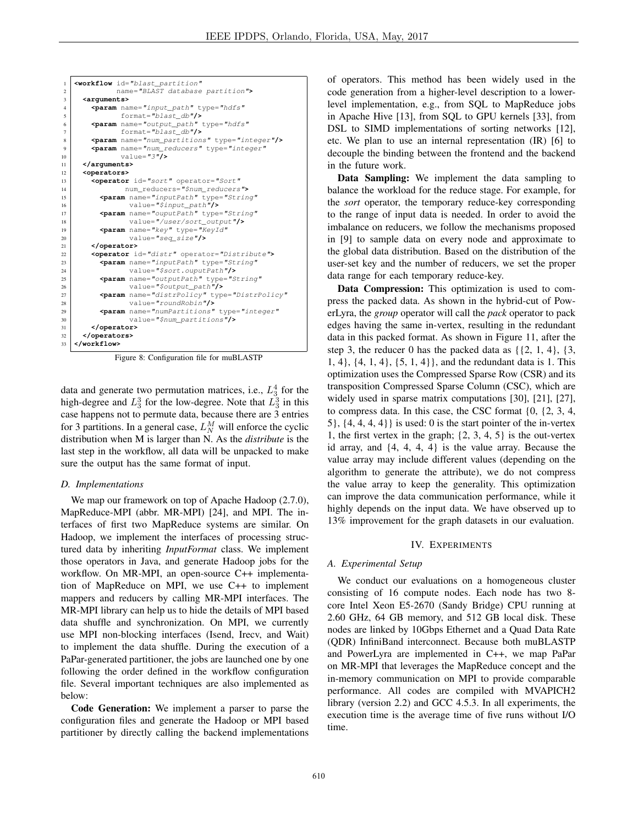| 1              | <workflow <="" id="blast_partition" th=""></workflow>      |  |  |  |  |  |  |
|----------------|------------------------------------------------------------|--|--|--|--|--|--|
| $\mathfrak{D}$ | name="BLAST database partition">                           |  |  |  |  |  |  |
| 3              | <arguments></arguments>                                    |  |  |  |  |  |  |
| 4              | <param <="" name="input_path" th="" type="hdfs"/>          |  |  |  |  |  |  |
| 5              | format="blast $db$ "/>                                     |  |  |  |  |  |  |
| 6              | <param <="" name="output_path" th="" type="hdfs"/>         |  |  |  |  |  |  |
| $\tau$         | format="blast $db$ "/>                                     |  |  |  |  |  |  |
| 8              | <param name="num_partitions" type="integer"/>              |  |  |  |  |  |  |
| 9              | <param <="" name="num_reducers" th="" type="integer"/>     |  |  |  |  |  |  |
| 10             | $value="3"$ />                                             |  |  |  |  |  |  |
| 11             |                                                            |  |  |  |  |  |  |
| 12             | <operators></operators>                                    |  |  |  |  |  |  |
| 13             | <operator <="" id="sort" operator="Sort" th=""></operator> |  |  |  |  |  |  |
| 14             | num reducers="\$num reducers">                             |  |  |  |  |  |  |
| 15             | <param <="" name="inputPath" th="" type="String"/>         |  |  |  |  |  |  |
| 16             | $value="Sinput\_path"$ />                                  |  |  |  |  |  |  |
| 17             | <param <="" name="ouputPath" th="" type="String"/>         |  |  |  |  |  |  |
| 18             | value="/user/sort_output"/>                                |  |  |  |  |  |  |
| 19             | <param <="" name="key" th="" type="KeyId"/>                |  |  |  |  |  |  |
| 20             | value="seq size"/>                                         |  |  |  |  |  |  |
| 21             |                                                            |  |  |  |  |  |  |
| 22             | <operator id="distr" operator="Distribute"></operator>     |  |  |  |  |  |  |
| 23             | <param <="" name="inputPath" th="" type="String"/>         |  |  |  |  |  |  |
| 24             | value="\$sort.ouputPath"/>                                 |  |  |  |  |  |  |
| 25             | <param <="" name="outputPath" th="" type="String"/>        |  |  |  |  |  |  |
| 26             | value=" $\text{Soutput path}$ "/>                          |  |  |  |  |  |  |
| 27             | <param <="" name="distrPolicy" th="" type="DistrPolicy"/>  |  |  |  |  |  |  |
| 28             | $value="roundRobin"/$                                      |  |  |  |  |  |  |
| 29             | <param <="" name="numPartitions" th="" type="integer"/>    |  |  |  |  |  |  |
| 30             | value="\$num partitions"/>                                 |  |  |  |  |  |  |
| 31             |                                                            |  |  |  |  |  |  |
| 32             |                                                            |  |  |  |  |  |  |
| 33             |                                                            |  |  |  |  |  |  |

Figure 8: Configuration file for muBLASTP

data and generate two permutation matrices, i.e.,  $L_3^4$  for the high-degree and  $L_3^3$  for the low-degree. Note that  $L_3^3$  in this case happens not to permute data, because there are 3 entries for 3 partitions. In a general case,  $L_N^M$  will enforce the cyclic distribution when M is larger than N. As the *distribute* is the last step in the workflow, all data will be unpacked to make sure the output has the same format of input.

#### *D. Implementations*

We map our framework on top of Apache Hadoop (2.7.0), MapReduce-MPI (abbr. MR-MPI) [24], and MPI. The interfaces of first two MapReduce systems are similar. On Hadoop, we implement the interfaces of processing structured data by inheriting *InputFormat* class. We implement those operators in Java, and generate Hadoop jobs for the workflow. On MR-MPI, an open-source C++ implementation of MapReduce on MPI, we use C++ to implement mappers and reducers by calling MR-MPI interfaces. The MR-MPI library can help us to hide the details of MPI based data shuffle and synchronization. On MPI, we currently use MPI non-blocking interfaces (Isend, Irecv, and Wait) to implement the data shuffle. During the execution of a PaPar-generated partitioner, the jobs are launched one by one following the order defined in the workflow configuration file. Several important techniques are also implemented as below:

Code Generation: We implement a parser to parse the configuration files and generate the Hadoop or MPI based partitioner by directly calling the backend implementations

of operators. This method has been widely used in the code generation from a higher-level description to a lowerlevel implementation, e.g., from SQL to MapReduce jobs in Apache Hive [13], from SQL to GPU kernels [33], from DSL to SIMD implementations of sorting networks [12], etc. We plan to use an internal representation (IR) [6] to decouple the binding between the frontend and the backend in the future work.

Data Sampling: We implement the data sampling to balance the workload for the reduce stage. For example, for the *sort* operator, the temporary reduce-key corresponding to the range of input data is needed. In order to avoid the imbalance on reducers, we follow the mechanisms proposed in [9] to sample data on every node and approximate to the global data distribution. Based on the distribution of the user-set key and the number of reducers, we set the proper data range for each temporary reduce-key.

Data Compression: This optimization is used to compress the packed data. As shown in the hybrid-cut of PowerLyra, the *group* operator will call the *pack* operator to pack edges having the same in-vertex, resulting in the redundant data in this packed format. As shown in Figure 11, after the step 3, the reducer 0 has the packed data as  $\{2, 1, 4\}$ ,  $\{3, 4\}$ 1, 4}, {4, 1, 4}, {5, 1, 4}}, and the redundant data is 1. This optimization uses the Compressed Sparse Row (CSR) and its transposition Compressed Sparse Column (CSC), which are widely used in sparse matrix computations [30], [21], [27], to compress data. In this case, the CSC format {0, {2, 3, 4,  $5$ ,  $\{4, 4, 4, 4\}$  is used: 0 is the start pointer of the in-vertex 1, the first vertex in the graph; {2, 3, 4, 5} is the out-vertex id array, and {4, 4, 4, 4} is the value array. Because the value array may include different values (depending on the algorithm to generate the attribute), we do not compress the value array to keep the generality. This optimization can improve the data communication performance, while it highly depends on the input data. We have observed up to 13% improvement for the graph datasets in our evaluation.

#### IV. EXPERIMENTS

#### *A. Experimental Setup*

We conduct our evaluations on a homogeneous cluster consisting of 16 compute nodes. Each node has two 8 core Intel Xeon E5-2670 (Sandy Bridge) CPU running at 2.60 GHz, 64 GB memory, and 512 GB local disk. These nodes are linked by 10Gbps Ethernet and a Quad Data Rate (QDR) InfiniBand interconnect. Because both muBLASTP and PowerLyra are implemented in C++, we map PaPar on MR-MPI that leverages the MapReduce concept and the in-memory communication on MPI to provide comparable performance. All codes are compiled with MVAPICH2 library (version 2.2) and GCC 4.5.3. In all experiments, the execution time is the average time of five runs without I/O time.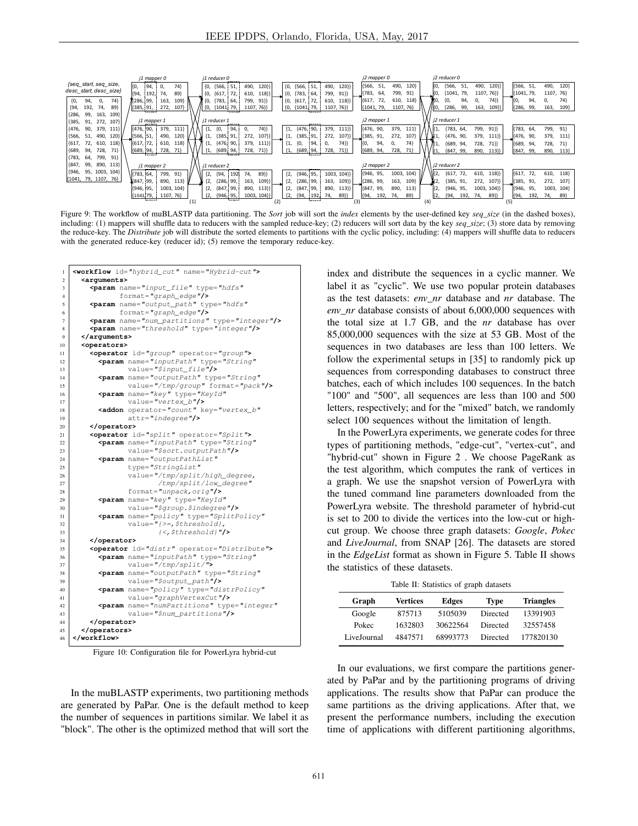|                               | j1 mapper 0                | i1 reducer 0                               |                                             | j2 mapper 0                     | j2 reducer 0                                      |                                |
|-------------------------------|----------------------------|--------------------------------------------|---------------------------------------------|---------------------------------|---------------------------------------------------|--------------------------------|
| {seq start, seq size,         | 194.<br>74}<br>KО,<br>0.   | $\{0, \{566, 151,$<br>$120$ }<br>490.      | $\{0, \{566, 151,$<br>490.<br>120}}         | {566.<br>490.<br>51.<br>120}    | {566.<br>490.<br>$120$ }<br>KO.<br>51.            | {566.<br>51.<br>490,<br>120}   |
| desc start, desc size}        | {94,<br>74.<br>89)<br>192, | $118$ }<br>$\{0, \{617, \} 72, \}$<br>610, | $\{0, \{783, 164,$<br>799, 91}}             | {783,<br>799.<br>91<br>64.      | {1041, 79.<br>1107.76}}<br>KO.                    | ${1041, 79,$<br>1107, 76}      |
| 74}<br>94,<br>{0,<br>0.       | M286.199.<br>163.<br>109}  | ${783.$<br>799.<br>$91$ }<br>i 64,<br>{0,  | .172.<br>${617$<br>610.<br>$118$ }<br>{0,   | {617,<br>610,<br>118}<br>72.    | 74}}<br>94.<br>٦ΙΟ,                               | 94,<br>74}<br>ſ0,              |
| 192,<br>89)<br>74,<br>${94,$  | 272, 107}<br>(385, 91, )   | $\{0, \{1041\}$ 79,<br>1107, 76}}          | 1107, 76}}<br>$\{1041, 79, \}$<br>${0, 0}$  | 1107, 76}<br>{1041, 79,         | ${286,$<br>163,<br>99,<br>$109$ }<br>'/Ко.        | 163,<br>${286,$<br>99,<br>109} |
| ${286,$<br>99,<br>163,<br>109 |                            |                                            |                                             |                                 |                                                   |                                |
| 272, 107}<br>${385,$<br>91,   | j1 mapper 1                | j1 reducer 1                               |                                             | j2 mapper 1                     | j2 reducer 1                                      |                                |
| 379, 111}<br>${476,$<br>90,   | {476, 90,<br>379, 111}     | 74}}<br>${0, 0}$<br>94.<br>{1,<br>0.       | $111$ }}<br>${476, 90,$<br>379,<br>${1, 1}$ | 476, 90,<br>379,<br>111         | ${783, 64,$<br>$91$ }<br>799,                     | {783.<br>64<br>799,<br>91      |
| 51,<br>490,<br>120<br>{566,   | 1566.151.<br>490,<br>120   | 107}}<br>${385, 91,$<br>272,               | 272,<br>$\{1, \{385, 91,$<br>$107$ }}       | 272,<br>385, 91,<br>107         | 379,<br>$111$ }}<br>${476, 90,$                   | 379,<br>{476.<br>90<br>111     |
| 72, 610,<br>${617,$<br>118    | (617, 72,<br>610,<br>118   | 379,<br>${476, 90,$<br>$111$ }}<br>11,     | 74}}<br>: 94.<br>{0,<br>0,                  | 74)<br>94,<br>{0,<br>0,         | ${689, 94,$<br>728,<br>71}}                       | {689,<br>728.<br>71<br>94.     |
| 728.<br>71}<br>${689,$<br>94, | (689, 94,<br>71}<br>728.   | ${689, 94,$<br>728, 71}}<br>${1, 1}$       | ${689, 94,$<br>71}}<br>728,                 | 728,<br>{689,<br>94,<br>-71}    | 890.<br>${847, 99,$<br>$113$ }                    | 847<br>890.<br>99.<br>113      |
| 799,<br>${783,$<br>64,<br>91  | ------                     | ------                                     | ------                                      |                                 |                                                   |                                |
| 890, 113}<br>${847,$<br>99,   | j1 mapper 2                | i1 reducer 2                               |                                             | j2 mapper 2                     | i2 reducer 2                                      |                                |
| 95, 1003, 104}<br>{946,       | (783, 64,<br>799,<br>91    | 89}}<br>{94,<br>i 192.<br>74.<br>$\{2,$    | $\{2,$<br>{946, 95,<br>1003, 104}}          | 1003, 104}<br>{946,<br>95.      | $118$ }<br>۸K 2,<br>${617, 72,$<br>610.           | {617.<br>72.<br>610.<br>118    |
| ${1041, 79, 1107, 76}$        | 890, 113}<br>(847, 99,     | 109}}<br>${286, 99,$<br>163,<br>${2, 2}$   | $109$ }}<br>$\{2, \{286, 99,$<br>163,       | 163,<br><b>{286, 99,</b><br>109 | ${385, 91}$<br>272,<br>$107$ }}<br>W <sub>2</sub> | 272,<br>{385,<br>107}<br>91.   |
|                               | 1003, 104}<br>{946, !95,   | ${847, 99}$<br>890,<br>$113$ }<br>$\{2,$   | 890,<br>{847, 99,<br>$113$ }<br>${2, 2}$    | {847, 99,<br>890,<br>113        | $1003, 104$ }<br>{946, 95,<br>K2,                 | {946,<br>95,<br>1003,<br>104}  |
|                               | 1107, 76}<br>(1041,79,     | 1003, 104}}<br>${946, 95}$<br>$\{2, \}$    | 89}}<br>{94,<br>74.<br>$ 192\rangle$        | {94,<br>192, 74,<br>89}         | 192, 74,<br>89}}<br>K2,<br>{94,                   | {94,<br>192,<br>74.<br>89}     |
|                               | -------                    | (2)                                        | ------<br>(3)                               |                                 | (4)                                               | (5)                            |

Figure 9: The workflow of muBLASTP data partitioning. The *Sort* job will sort the *index* elements by the user-defined key *seq\_size* (in the dashed boxes), including: (1) mappers will shuffle data to reducers with the sampled reduce-key; (2) reducers will sort data by the key *seq\_size*; (3) store data by removing the reduce-key. The *Distribute* job will distribute the sorted elements to partitions with the cyclic policy, including: (4) mappers will shuffle data to reducers with the generated reduce-key (reducer id); (5) remove the temporary reduce-key.

| $\mathbf{1}$   | <workflow id="hybrid_cut" name="Hybrid-cut"></workflow>             |
|----------------|---------------------------------------------------------------------|
| $\overline{c}$ | <arguments></arguments>                                             |
| 3              | <param <="" name="input_file" th="" type="hdfs"/>                   |
| $\overline{4}$ | format="graph_edge"/>                                               |
| 5              | <param <="" name="output_path" th="" type="hdfs"/>                  |
| 6              | format="graph_edge"/>                                               |
| $\overline{7}$ | <param name="num_partitions" type="integer"/>                       |
| 8              | <param name="threshold" type="integer"/>                            |
| 9              |                                                                     |
| 10             | <operators></operators>                                             |
| 11             | <operator id="group" operator="group"></operator>                   |
| 12             | <param <="" name="inputPath" th="" type="String"/>                  |
| 13             | value="\$input_file"/>                                              |
| 14             | <param <="" name="outputPath" th="" type="String"/>                 |
| 15             | value="/tmp/group" format="pack"/>                                  |
| 16             | <param <="" name="key" th="" type="KeyId"/>                         |
| 17             | value="vertex b"/>                                                  |
| 18             | <addon <="" key="vertex_b" operator="count" th=""></addon>          |
| 19             | $attr="in$                                                          |
| 20             |                                                                     |
| 21             | <operator id="split" operator="Split"></operator>                   |
| 22             | <param <="" name="inputPath" th="" type="String"/>                  |
| 23             | value="\$sort.outputPath"/>                                         |
| 24             | <param <="" name="outputPathList" th=""/>                           |
| 25             | type="StringList"                                                   |
| 26             | value="/tmp/split/high_degree,                                      |
| 27             | /tmp/split/low_degree"                                              |
| 28             | format="unpack, $orig$ "/>                                          |
| 29             | <param <="" name="key" th="" type="KeyId"/>                         |
| 30             | value="\$group.\$indegree"/>                                        |
| 31             | <param <="" name="policy" th="" type="SplitPolicy"/>                |
| 32             | $value="='f>=f * threshold$ ,                                       |
| 33             | $\{<, \text{ $$threshold} \}$ "/>                                   |
| 34             |                                                                     |
| 35             | <operator id="distr" operator="Distribute"></operator>              |
| 36             | <param <br="" name="inputPath" type="String"/> value="/tmp/split/"> |
| 37             | <param <="" name="outputPath" th="" type="String"/>                 |
| 38             | value="\$output_path"/>                                             |
| 39             | <param <="" name="policy" th="" type="distrPolicy"/>                |
| 40<br>41       | value="graphVertexCut"/>                                            |
|                | <param <="" name="numPartitions" th="" type="integer"/>             |
| 42<br>43       | value="\$num_partitions"/>                                          |
| 44             |                                                                     |
| 45             |                                                                     |
| 46             |                                                                     |
|                |                                                                     |

Figure 10: Configuration file for PowerLyra hybrid-cut

In the muBLASTP experiments, two partitioning methods are generated by PaPar. One is the default method to keep the number of sequences in partitions similar. We label it as "block". The other is the optimized method that will sort the index and distribute the sequences in a cyclic manner. We label it as "cyclic". We use two popular protein databases as the test datasets: *env\_nr* database and *nr* database. The *env\_nr* database consists of about 6,000,000 sequences with the total size at 1.7 GB, and the *nr* database has over 85,000,000 sequences with the size at 53 GB. Most of the sequences in two databases are less than 100 letters. We follow the experimental setups in [35] to randomly pick up sequences from corresponding databases to construct three batches, each of which includes 100 sequences. In the batch "100" and "500", all sequences are less than 100 and 500 letters, respectively; and for the "mixed" batch, we randomly select 100 sequences without the limitation of length.

In the PowerLyra experiments, we generate codes for three types of partitioning methods, "edge-cut", "vertex-cut", and "hybrid-cut" shown in Figure 2 . We choose PageRank as the test algorithm, which computes the rank of vertices in a graph. We use the snapshot version of PowerLyra with the tuned command line parameters downloaded from the PowerLyra website. The threshold parameter of hybrid-cut is set to 200 to divide the vertices into the low-cut or highcut group. We choose three graph datasets: *Google*, *Pokec* and *LiveJournal*, from SNAP [26]. The datasets are stored in the *EdgeList* format as shown in Figure 5. Table II shows the statistics of these datasets.

Table II: Statistics of graph datasets

| Graph       | Vertices | <b>Edges</b> | <b>Type</b> | <b>Triangles</b> |  |
|-------------|----------|--------------|-------------|------------------|--|
| Google      | 875713   | 5105039      | Directed    | 13391903         |  |
| Pokec       | 1632803  | 30622564     | Directed    | 32557458         |  |
| LiveJournal | 4847571  | 68993773     | Directed    | 177820130        |  |

In our evaluations, we first compare the partitions generated by PaPar and by the partitioning programs of driving applications. The results show that PaPar can produce the same partitions as the driving applications. After that, we present the performance numbers, including the execution time of applications with different partitioning algorithms,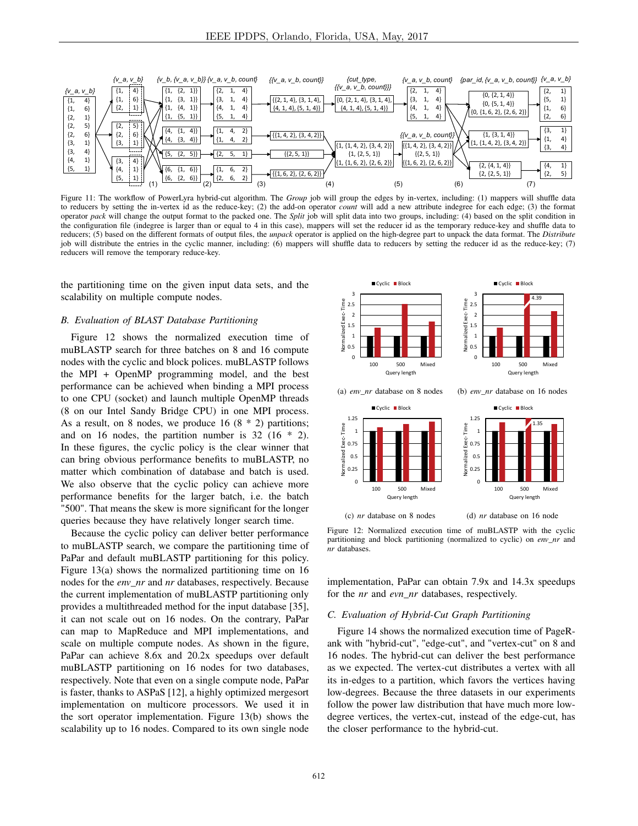

Figure 11: The workflow of PowerLyra hybrid-cut algorithm. The *Group* job will group the edges by in-vertex, including: (1) mappers will shuffle data to reducers by setting the in-vertex id as the reduce-key; (2) the add-on operator *count* will add a new attribute indegree for each edge; (3) the format operator *pack* will change the output format to the packed one. The *Split* job will split data into two groups, including: (4) based on the split condition in the configuration file (indegree is larger than or equal to 4 in this case), mappers will set the reducer id as the temporary reduce-key and shuffle data to reducers; (5) based on the different formats of output files, the *unpack* operator is applied on the high-degree part to unpack the data format. The *Distribute* job will distribute the entries in the cyclic manner, including: (6) mappers will shuffle data to reducers by setting the reducer id as the reduce-key; (7) reducers will remove the temporary reduce-key.

the partitioning time on the given input data sets, and the scalability on multiple compute nodes.

## *B. Evaluation of BLAST Database Partitioning*

Figure 12 shows the normalized execution time of muBLASTP search for three batches on 8 and 16 compute nodes with the cyclic and block polices. muBLASTP follows the MPI + OpenMP programming model, and the best performance can be achieved when binding a MPI process to one CPU (socket) and launch multiple OpenMP threads (8 on our Intel Sandy Bridge CPU) in one MPI process. As a result, on 8 nodes, we produce 16  $(8 * 2)$  partitions; and on 16 nodes, the partition number is  $32 \left(16 * 2\right)$ . In these figures, the cyclic policy is the clear winner that can bring obvious performance benefits to muBLASTP, no matter which combination of database and batch is used. We also observe that the cyclic policy can achieve more performance benefits for the larger batch, i.e. the batch "500". That means the skew is more significant for the longer queries because they have relatively longer search time.

Because the cyclic policy can deliver better performance to muBLASTP search, we compare the partitioning time of PaPar and default muBLASTP partitioning for this policy. Figure 13(a) shows the normalized partitioning time on 16 nodes for the *env\_nr* and *nr* databases, respectively. Because the current implementation of muBLASTP partitioning only provides a multithreaded method for the input database [35], it can not scale out on 16 nodes. On the contrary, PaPar can map to MapReduce and MPI implementations, and scale on multiple compute nodes. As shown in the figure, PaPar can achieve 8.6x and 20.2x speedups over default muBLASTP partitioning on 16 nodes for two databases, respectively. Note that even on a single compute node, PaPar is faster, thanks to ASPaS [12], a highly optimized mergesort implementation on multicore processors. We used it in the sort operator implementation. Figure 13(b) shows the scalability up to 16 nodes. Compared to its own single node



Figure 12: Normalized execution time of muBLASTP with the cyclic partitioning and block partitioning (normalized to cyclic) on *env\_nr* and *nr* databases.

implementation, PaPar can obtain 7.9x and 14.3x speedups for the *nr* and *evn\_nr* databases, respectively.

### *C. Evaluation of Hybrid-Cut Graph Partitioning*

Figure 14 shows the normalized execution time of PageRank with "hybrid-cut", "edge-cut", and "vertex-cut" on 8 and 16 nodes. The hybrid-cut can deliver the best performance as we expected. The vertex-cut distributes a vertex with all its in-edges to a partition, which favors the vertices having low-degrees. Because the three datasets in our experiments follow the power law distribution that have much more lowdegree vertices, the vertex-cut, instead of the edge-cut, has the closer performance to the hybrid-cut.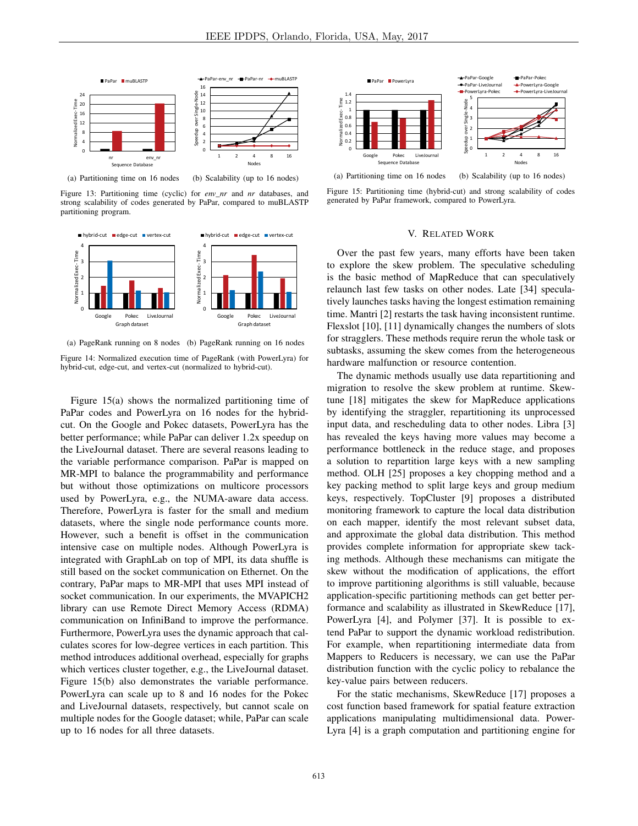

Figure 13: Partitioning time (cyclic) for *env\_nr* and *nr* databases, and strong scalability of codes generated by PaPar, compared to muBLASTP partitioning program.



(a) PageRank running on 8 nodes (b) PageRank running on 16 nodes

Figure 14: Normalized execution time of PageRank (with PowerLyra) for hybrid-cut, edge-cut, and vertex-cut (normalized to hybrid-cut).

Figure 15(a) shows the normalized partitioning time of PaPar codes and PowerLyra on 16 nodes for the hybridcut. On the Google and Pokec datasets, PowerLyra has the better performance; while PaPar can deliver 1.2x speedup on the LiveJournal dataset. There are several reasons leading to the variable performance comparison. PaPar is mapped on MR-MPI to balance the programmability and performance but without those optimizations on multicore processors used by PowerLyra, e.g., the NUMA-aware data access. Therefore, PowerLyra is faster for the small and medium datasets, where the single node performance counts more. However, such a benefit is offset in the communication intensive case on multiple nodes. Although PowerLyra is integrated with GraphLab on top of MPI, its data shuffle is still based on the socket communication on Ethernet. On the contrary, PaPar maps to MR-MPI that uses MPI instead of socket communication. In our experiments, the MVAPICH2 library can use Remote Direct Memory Access (RDMA) communication on InfiniBand to improve the performance. Furthermore, PowerLyra uses the dynamic approach that calculates scores for low-degree vertices in each partition. This method introduces additional overhead, especially for graphs which vertices cluster together, e.g., the LiveJournal dataset. Figure 15(b) also demonstrates the variable performance. PowerLyra can scale up to 8 and 16 nodes for the Pokec and LiveJournal datasets, respectively, but cannot scale on multiple nodes for the Google dataset; while, PaPar can scale up to 16 nodes for all three datasets.



Figure 15: Partitioning time (hybrid-cut) and strong scalability of codes generated by PaPar framework, compared to PowerLyra.

#### V. RELATED WORK

Over the past few years, many efforts have been taken to explore the skew problem. The speculative scheduling is the basic method of MapReduce that can speculatively relaunch last few tasks on other nodes. Late [34] speculatively launches tasks having the longest estimation remaining time. Mantri [2] restarts the task having inconsistent runtime. Flexslot [10], [11] dynamically changes the numbers of slots for stragglers. These methods require rerun the whole task or subtasks, assuming the skew comes from the heterogeneous hardware malfunction or resource contention.

The dynamic methods usually use data repartitioning and migration to resolve the skew problem at runtime. Skewtune [18] mitigates the skew for MapReduce applications by identifying the straggler, repartitioning its unprocessed input data, and rescheduling data to other nodes. Libra [3] has revealed the keys having more values may become a performance bottleneck in the reduce stage, and proposes a solution to repartition large keys with a new sampling method. OLH [25] proposes a key chopping method and a key packing method to split large keys and group medium keys, respectively. TopCluster [9] proposes a distributed monitoring framework to capture the local data distribution on each mapper, identify the most relevant subset data, and approximate the global data distribution. This method provides complete information for appropriate skew tacking methods. Although these mechanisms can mitigate the skew without the modification of applications, the effort to improve partitioning algorithms is still valuable, because application-specific partitioning methods can get better performance and scalability as illustrated in SkewReduce [17], PowerLyra [4], and Polymer [37]. It is possible to extend PaPar to support the dynamic workload redistribution. For example, when repartitioning intermediate data from Mappers to Reducers is necessary, we can use the PaPar distribution function with the cyclic policy to rebalance the key-value pairs between reducers.

For the static mechanisms, SkewReduce [17] proposes a cost function based framework for spatial feature extraction applications manipulating multidimensional data. Power-Lyra [4] is a graph computation and partitioning engine for